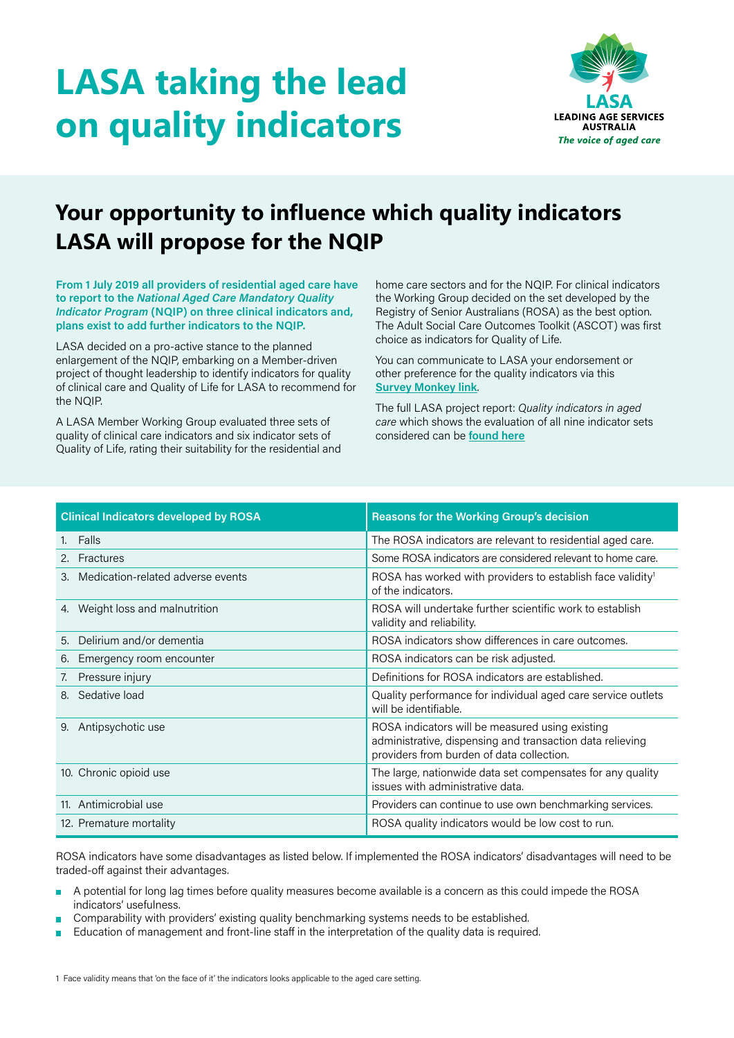## **LASA taking the lead on quality indicators**



## **Your opportunity to influence which quality indicators LASA will propose for the NQIP**

**From 1 July 2019 all providers of residential aged care have to report to the** *National Aged Care Mandatory Quality Indicator Program* **(NQIP) on three clinical indicators and, plans exist to add further indicators to the NQIP.** 

LASA decided on a pro-active stance to the planned enlargement of the NQIP, embarking on a Member-driven project of thought leadership to identify indicators for quality of clinical care and Quality of Life for LASA to recommend for the NQIP.

A LASA Member Working Group evaluated three sets of quality of clinical care indicators and six indicator sets of Quality of Life, rating their suitability for the residential and

home care sectors and for the NQIP. For clinical indicators the Working Group decided on the set developed by the Registry of Senior Australians (ROSA) as the best option. The Adult Social Care Outcomes Toolkit (ASCOT) was first choice as indicators for Quality of Life.

You can communicate to LASA your endorsement or other preference for the quality indicators via this **[Survey Monkey link](https://www.surveymonkey.com/r/GGSQLJ5)**.

The full LASA project report: *Quality indicators in aged care* which shows the evaluation of all nine indicator sets considered can be **[found here](https://lasa.asn.au/wp-content/uploads/2019/10/LASA-project-report-Quality-Indicators.pdf)**

| <b>Clinical Indicators developed by ROSA</b> | <b>Reasons for the Working Group's decision</b>                                                                                                           |
|----------------------------------------------|-----------------------------------------------------------------------------------------------------------------------------------------------------------|
| Falls<br>1.                                  | The ROSA indicators are relevant to residential aged care.                                                                                                |
| 2. Fractures                                 | Some ROSA indicators are considered relevant to home care.                                                                                                |
| Medication-related adverse events<br>3.      | ROSA has worked with providers to establish face validity <sup>1</sup><br>of the indicators.                                                              |
| 4. Weight loss and malnutrition              | ROSA will undertake further scientific work to establish<br>validity and reliability.                                                                     |
| Delirium and/or dementia<br>5.               | ROSA indicators show differences in care outcomes.                                                                                                        |
| Emergency room encounter<br>6.               | ROSA indicators can be risk adjusted.                                                                                                                     |
| Pressure injury<br>7.                        | Definitions for ROSA indicators are established.                                                                                                          |
| Sedative load<br>8.                          | Quality performance for individual aged care service outlets<br>will be identifiable.                                                                     |
| Antipsychotic use<br>9.                      | ROSA indicators will be measured using existing<br>administrative, dispensing and transaction data relieving<br>providers from burden of data collection. |
| 10. Chronic opioid use                       | The large, nationwide data set compensates for any quality<br>issues with administrative data.                                                            |
| 11. Antimicrobial use                        | Providers can continue to use own benchmarking services.                                                                                                  |
| 12. Premature mortality                      | ROSA quality indicators would be low cost to run.                                                                                                         |

ROSA indicators have some disadvantages as listed below. If implemented the ROSA indicators' disadvantages will need to be traded-off against their advantages.

- A potential for long lag times before quality measures become available is a concern as this could impede the ROSA ÷ indicators' usefulness.
- Comparability with providers' existing quality benchmarking systems needs to be established.
- Education of management and front-line staff in the interpretation of the quality data is required. ÷